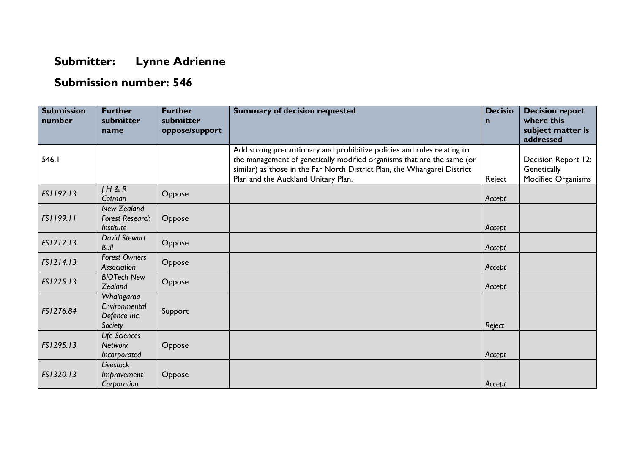## **Submitter: Lynne Adrienne**

## **Submission number: 546**

| <b>Submission</b><br>number | <b>Further</b><br>submitter<br>name                       | <b>Further</b><br>submitter<br>oppose/support | <b>Summary of decision requested</b>                                                                                                                                                                                                                                 | <b>Decisio</b><br>$\mathbf n$ | <b>Decision report</b><br>where this<br>subject matter is<br>addressed |
|-----------------------------|-----------------------------------------------------------|-----------------------------------------------|----------------------------------------------------------------------------------------------------------------------------------------------------------------------------------------------------------------------------------------------------------------------|-------------------------------|------------------------------------------------------------------------|
| 546.1                       |                                                           |                                               | Add strong precautionary and prohibitive policies and rules relating to<br>the management of genetically modified organisms that are the same (or<br>similar) as those in the Far North District Plan, the Whangarei District<br>Plan and the Auckland Unitary Plan. | Reject                        | Decision Report 12:<br>Genetically<br>Modified Organisms               |
| FS1192.13                   | H & R<br>Cotman                                           | Oppose                                        |                                                                                                                                                                                                                                                                      | Accept                        |                                                                        |
| FS1199.11                   | <b>New Zealand</b><br><b>Forest Research</b><br>Institute | Oppose                                        |                                                                                                                                                                                                                                                                      | Accept                        |                                                                        |
| FS1212.13                   | <b>David Stewart</b><br><b>Bull</b>                       | Oppose                                        |                                                                                                                                                                                                                                                                      | Accept                        |                                                                        |
| FS1214.13                   | <b>Forest Owners</b><br>Association                       | Oppose                                        |                                                                                                                                                                                                                                                                      | Accept                        |                                                                        |
| FS1225.13                   | <b>BIOTech New</b><br>Zealand                             | Oppose                                        |                                                                                                                                                                                                                                                                      | Accept                        |                                                                        |
| FS1276.84                   | Whaingaroa<br>Environmental<br>Defence Inc.<br>Society    | Support                                       |                                                                                                                                                                                                                                                                      | Reject                        |                                                                        |
| FS1295.13                   | Life Sciences<br><b>Network</b><br>Incorporated           | Oppose                                        |                                                                                                                                                                                                                                                                      | Accept                        |                                                                        |
| FS1320.13                   | Livestock<br>Improvement<br>Corporation                   | Oppose                                        |                                                                                                                                                                                                                                                                      | Accept                        |                                                                        |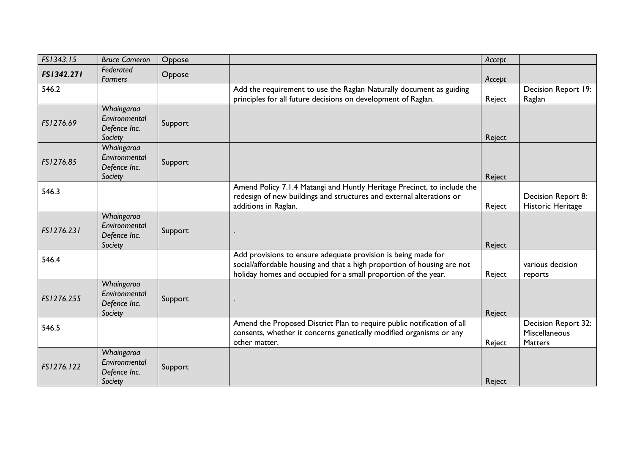| FS1343.15  | <b>Bruce Cameron</b>                                   | Oppose  |                                                                                                                                                                                                            | Accept |                                                        |
|------------|--------------------------------------------------------|---------|------------------------------------------------------------------------------------------------------------------------------------------------------------------------------------------------------------|--------|--------------------------------------------------------|
| FS1342.271 | Federated<br><b>Farmers</b>                            | Oppose  |                                                                                                                                                                                                            | Accept |                                                        |
| 546.2      |                                                        |         | Add the requirement to use the Raglan Naturally document as guiding<br>principles for all future decisions on development of Raglan.                                                                       | Reject | Decision Report 19:<br>Raglan                          |
| FS1276.69  | Whaingaroa<br>Environmental<br>Defence Inc.<br>Society | Support |                                                                                                                                                                                                            | Reject |                                                        |
| FS1276.85  | Whaingaroa<br>Environmental<br>Defence Inc.<br>Society | Support |                                                                                                                                                                                                            | Reject |                                                        |
| 546.3      |                                                        |         | Amend Policy 7.1.4 Matangi and Huntly Heritage Precinct, to include the<br>redesign of new buildings and structures and external alterations or<br>additions in Raglan.                                    | Reject | Decision Report 8:<br>Historic Heritage                |
| FS1276.231 | Whaingaroa<br>Environmental<br>Defence Inc.<br>Society | Support |                                                                                                                                                                                                            | Reject |                                                        |
| 546.4      |                                                        |         | Add provisions to ensure adequate provision is being made for<br>social/affordable housing and that a high proportion of housing are not<br>holiday homes and occupied for a small proportion of the year. | Reject | various decision<br>reports                            |
| FS1276.255 | Whaingaroa<br>Environmental<br>Defence Inc.<br>Society | Support |                                                                                                                                                                                                            | Reject |                                                        |
| 546.5      |                                                        |         | Amend the Proposed District Plan to require public notification of all<br>consents, whether it concerns genetically modified organisms or any<br>other matter.                                             | Reject | Decision Report 32:<br>Miscellaneous<br><b>Matters</b> |
| FS1276.122 | Whaingaroa<br>Environmental<br>Defence Inc.<br>Society | Support |                                                                                                                                                                                                            | Reject |                                                        |